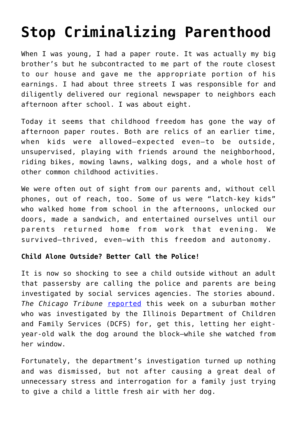## **[Stop Criminalizing Parenthood](https://intellectualtakeout.org/2018/08/stop-criminalizing-parenthood/)**

When I was young, I had a paper route. It was actually my big brother's but he subcontracted to me part of the route closest to our house and gave me the appropriate portion of his earnings. I had about three streets I was responsible for and diligently delivered our regional newspaper to neighbors each afternoon after school. I was about eight.

Today it seems that childhood freedom has gone the way of afternoon paper routes. Both are relics of an earlier time, when kids were allowed—expected even—to be outside, unsupervised, playing with friends around the neighborhood, riding bikes, mowing lawns, walking dogs, and a whole host of other common childhood activities.

We were often out of sight from our parents and, without cell phones, out of reach, too. Some of us were "latch-key kids" who walked home from school in the afternoons, unlocked our doors, made a sandwich, and entertained ourselves until our parents returned home from work that evening. We survived—thrived, even—with this freedom and autonomy.

## **Child Alone Outside? Better Call the Police!**

It is now so shocking to see a child outside without an adult that passersby are calling the police and parents are being investigated by social services agencies. The stories abound. *The Chicago Tribune* [reported](http://www.chicagotribune.com/lifestyles/ct-life-leaving-kids-alone-moms-shamed-20180820-story.html) this week on a suburban mother who was investigated by the Illinois Department of Children and Family Services (DCFS) for, get this, letting her eightyear-old walk the dog around the block—while she watched from her window.

Fortunately, the department's investigation turned up nothing and was dismissed, but not after causing a great deal of unnecessary stress and interrogation for a family just trying to give a child a little fresh air with her dog.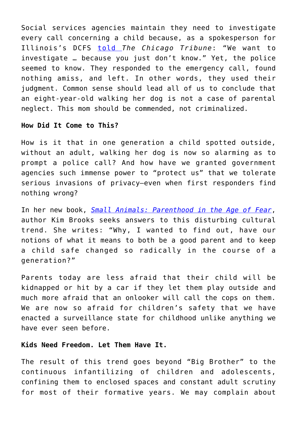Social services agencies maintain they need to investigate every call concerning a child because, as a spokesperson for Illinois's DCFS [told](http://www.chicagotribune.com/lifestyles/ct-life-leaving-kids-alone-moms-shamed-20180820-story.html) *The Chicago Tribune*: "We want to investigate … because you just don't know." Yet, the police seemed to know. They responded to the emergency call, found nothing amiss, and left. In other words, they used their judgment. Common sense should lead all of us to conclude that an eight-year-old walking her dog is not a case of parental neglect. This mom should be commended, not criminalized.

## **How Did It Come to This?**

How is it that in one generation a child spotted outside, without an adult, walking her dog is now so alarming as to prompt a police call? And how have we granted government agencies such immense power to "protect us" that we tolerate serious invasions of privacy—even when first responders find nothing wrong?

In her new book, *[Small Animals: Parenthood in the Age of Fear](https://www.amazon.com/gp/product/1250089557/ref=as_li_qf_asin_il_tl?ie=UTF8&tag=intelltakeo0d-20&creative=9325&linkCode=as2&creativeASIN=1250089557&linkId=6854d959d105d9dd814ec5cf1c63b4c0)*, author Kim Brooks seeks answers to this disturbing cultural trend. She writes: "Why, I wanted to find out, have our notions of what it means to both be a good parent and to keep a child safe changed so radically in the course of a generation?"

Parents today are less afraid that their child will be kidnapped or hit by a car if they let them play outside and much more afraid that an onlooker will call the cops on them. We are now so afraid for children's safety that we have enacted a surveillance state for childhood unlike anything we have ever seen before.

## **Kids Need Freedom. Let Them Have It.**

The result of this trend goes beyond "Big Brother" to the continuous infantilizing of children and adolescents, confining them to enclosed spaces and constant adult scrutiny for most of their formative years. We may complain about